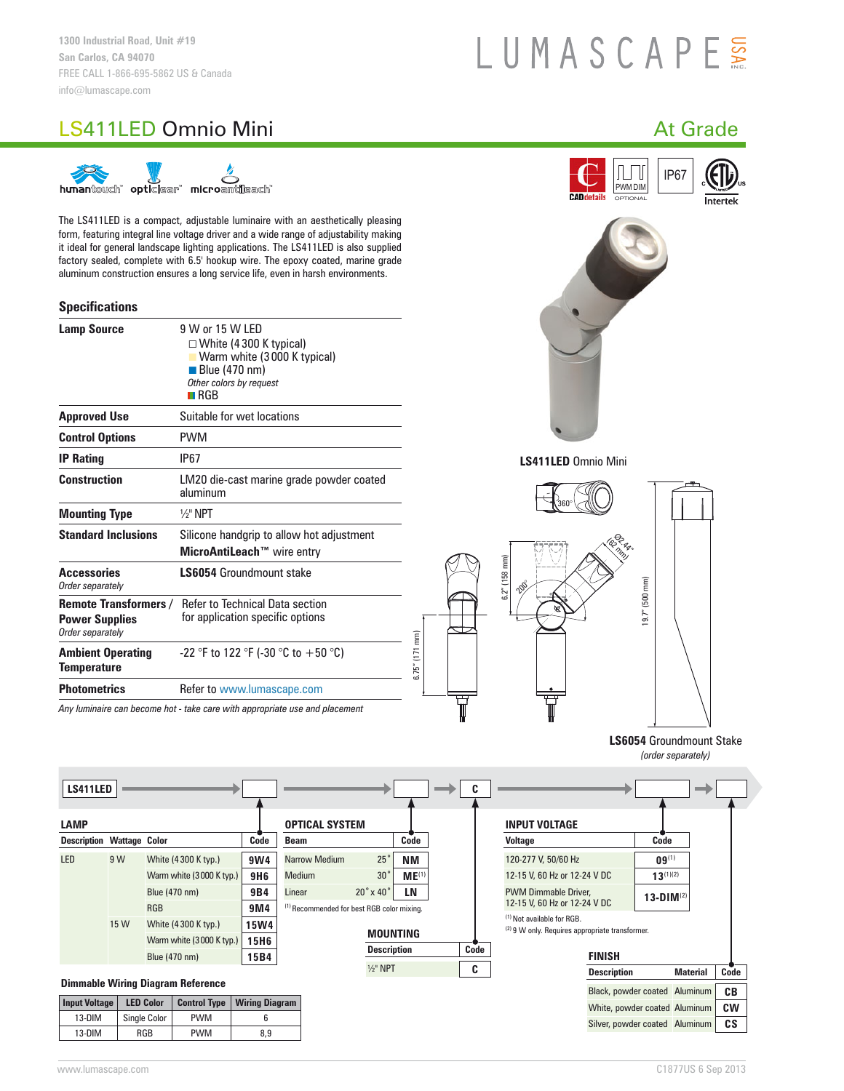# LUMASCAPE

## LS411LED Omnio Mini and a control of the control of the control of the control of the control of the control of the control of the control of the control of the control of the control of the control of the control of the c



The LS411LED is a compact, adjustable luminaire with an aesthetically pleasing form, featuring integral line voltage driver and a wide range of adjustability making it ideal for general landscape lighting applications. The LS411LED is also supplied factory sealed, complete with 6.5' hookup wire. The epoxy coated, marine grade aluminum construction ensures a long service life, even in harsh environments.

#### **Specifications**

| <b>Lamp Source</b>                                                        | 9 W or 15 W LED<br>$\Box$ White (4 300 K typical)<br>Warm white (3000 K typical) |  |  |  |  |
|---------------------------------------------------------------------------|----------------------------------------------------------------------------------|--|--|--|--|
|                                                                           | <b>Blue (470 nm)</b><br>Other colors by request<br>$\blacksquare$ RGB            |  |  |  |  |
| <b>Approved Use</b>                                                       | Suitable for wet locations                                                       |  |  |  |  |
| <b>Control Options</b>                                                    | <b>PWM</b>                                                                       |  |  |  |  |
| <b>IP Rating</b>                                                          | IP67                                                                             |  |  |  |  |
| Construction                                                              | LM20 die-cast marine grade powder coated<br>aluminum                             |  |  |  |  |
| <b>Mounting Type</b>                                                      | $\frac{1}{2}$ " NPT                                                              |  |  |  |  |
| <b>Standard Inclusions</b>                                                | Silicone handgrip to allow hot adjustment<br>MicroAntiLeach™ wire entry          |  |  |  |  |
| <b>Accessories</b><br>Order separately                                    | <b>LS6054 Groundmount stake</b>                                                  |  |  |  |  |
| <b>Remote Transformers /</b><br><b>Power Supplies</b><br>Order separately | Refer to Technical Data section<br>for application specific options              |  |  |  |  |
| <b>Ambient Operating</b><br>Temperature                                   | -22 °F to 122 °F (-30 °C to +50 °C)                                              |  |  |  |  |
| <b>Photometrics</b>                                                       | Refer to www.lumascape.com                                                       |  |  |  |  |
|                                                                           | Any luminaire can become hot - take care with appropriate use and placement      |  |  |  |  |









**LS6054** Groundmount Stake *(order separately)*

| <b>LS411LED</b>                  |                                          |                  |                          |                       |                                                       |                            |                   |      |                                                                               |                    |                               |           |
|----------------------------------|------------------------------------------|------------------|--------------------------|-----------------------|-------------------------------------------------------|----------------------------|-------------------|------|-------------------------------------------------------------------------------|--------------------|-------------------------------|-----------|
| <b>LAMP</b>                      |                                          |                  |                          |                       | <b>OPTICAL SYSTEM</b>                                 |                            |                   |      | <b>INPUT VOLTAGE</b>                                                          |                    |                               |           |
| <b>Description Wattage Color</b> |                                          |                  |                          | Code                  | Beam                                                  |                            | Code              |      | <b>Voltage</b>                                                                |                    | Code                          |           |
| <b>LED</b>                       | 9 W                                      |                  | White (4300 K typ.)      | 9W4                   | Narrow Medium                                         | 25°                        | <b>NM</b>         |      | 120-277 V, 50/60 Hz                                                           |                    | $09^{(1)}$                    |           |
|                                  |                                          |                  | Warm white (3000 K typ.) | <b>9H6</b>            | Medium                                                | $30^{\circ}$               | ME <sup>(1)</sup> |      | 12-15 V, 60 Hz or 12-24 V DC                                                  |                    | $13^{(1)(2)}$                 |           |
|                                  |                                          | Blue (470 nm)    |                          | 9B4                   | Linear                                                | $20^\circ \times 40^\circ$ | <b>LN</b>         |      | <b>PWM Dimmable Driver.</b>                                                   |                    | 13-DIM $^{(2)}$               |           |
|                                  |                                          | <b>RGB</b>       |                          | 9M4                   | <sup>(1)</sup> Recommended for best RGB color mixing. |                            |                   |      | 12-15 V, 60 Hz or 12-24 V DC                                                  |                    |                               |           |
|                                  | 15 W                                     |                  | White (4300 K typ.)      | <b>15W4</b>           |                                                       |                            |                   |      | (1) Not available for RGB.<br>(2) 9 W only. Requires appropriate transformer. |                    |                               |           |
|                                  |                                          |                  | Warm white (3000 K typ.) | <b>15H6</b>           |                                                       |                            | <b>MOUNTING</b>   |      |                                                                               |                    |                               |           |
|                                  |                                          | Blue (470 nm)    |                          | 15B4                  |                                                       | <b>Description</b>         |                   | Code |                                                                               | <b>FINISH</b>      |                               |           |
|                                  |                                          |                  |                          |                       |                                                       | $1/2$ " NPT                |                   | C    |                                                                               | <b>Description</b> | <b>Material</b>               | Code      |
|                                  | <b>Dimmable Wiring Diagram Reference</b> |                  |                          |                       |                                                       |                            |                   |      |                                                                               |                    | Black, powder coated Aluminum | CВ        |
| <b>Input Voltage</b>             |                                          | <b>LED Color</b> | <b>Control Type</b>      | <b>Wiring Diagram</b> |                                                       |                            |                   |      |                                                                               |                    | White, powder coated Aluminum | <b>CW</b> |

6.75" (171 mm)

6.75" (171 mm)

| Input Voltage | <b>LED Color</b> | <b>Control Type</b> | <b>Wiring Diagram</b> |  |  |
|---------------|------------------|---------------------|-----------------------|--|--|
| 13-DIM        | Single Color     | <b>PWM</b>          |                       |  |  |
| $13-DIM$      | RGB              | <b>PWM</b>          | 8.9                   |  |  |

Silver, powder coated Aluminum **CS**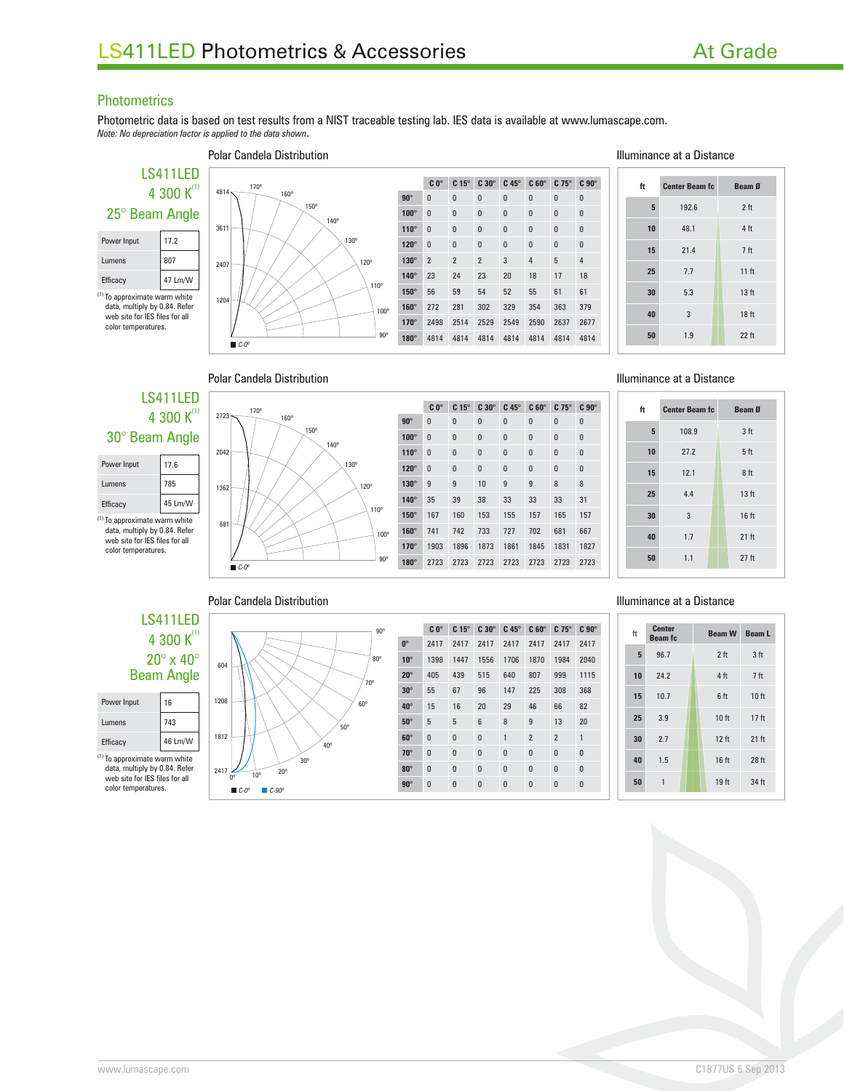#### **Photometrics**

Photometric data is based on test results from a NIST traceable testing lab. IES data is available at www.lumascape.com. *Note: No depreciation factor is applied to the data shown*.

### LS411LED 4 300  $K^{(1)}$ 25° Beam Angle Power Input 17.2 Lumens 807 Efficacy 47 Lm/W (1) To approximate warm white

data, multiply by 0.84. Refer web site for IES files for all color temperatures.



#### Polar Candela Distribution **Illuminance at a Distance C 0° C 15° C 30° C 45° C 60° C 75° C 90° 90°** 0 0 0 0 0 0 0 0 **100°** 0 0 0 0 0 0 0 0 0 **110°** 0 0 0 0 0 0 0 **120°** 0 0 0 0 0 0 0 **130°** 2223454 **140°** 23 24 23 20 18 17 18 **150°** 56 59 54 52 55 61 61 **160°** 272 281 302 329 354 363 379 **170°** 2498 2514 2529 2549 2590 2637 2677

**180°** 4814 4814 4814 4814 4814 4814 4814

| ft | <b>Center Beam fc</b> | Beam Ø           |
|----|-----------------------|------------------|
| 5  | 192.6                 | 2 <sub>ft</sub>  |
| 10 | 48.1                  | 4 ft             |
| 15 | 21.4                  | 7 <sub>ft</sub>  |
| 25 | 7.7                   | 11 <sup>ft</sup> |
| 30 | 5.3                   | 13 <sub>ft</sub> |
| 40 | 3                     | 18 ft            |
| 50 | 1.9                   | $22$ ft          |

Polar Candela Distribution

#### 4 300  $K^{(1)}$ 30° Beam Angle

LS411LED

| Power Input                             | 17.6    |  |  |  |  |  |
|-----------------------------------------|---------|--|--|--|--|--|
| Lumens                                  | 785     |  |  |  |  |  |
| Efficacy                                | 45 Lm/W |  |  |  |  |  |
| <sup>1)</sup> To approximate warm white |         |  |  |  |  |  |

 $(1)$  To approximate warm white<br>data, multiply by 0.84. Refer web site for IES files for all color temperatures.



|                       |             | $C_0^\circ$ | $C15^\circ$ | $C30^\circ$  | $C$ 45 $^{\circ}$ | $C 60^\circ$ | $C$ 75 $^{\circ}$ | C <sub>90</sub> |
|-----------------------|-------------|-------------|-------------|--------------|-------------------|--------------|-------------------|-----------------|
|                       | $90^\circ$  | 0           | 0           | $\mathbf{0}$ | $\bf{0}$          | $\bf{0}$     | 0                 | 0               |
|                       | $100^\circ$ | 0           | $\bf{0}$    | $\bf{0}$     | $\bf{0}$          | $\bf{0}$     | $\bf{0}$          | $\bf{0}$        |
|                       | $110^\circ$ | 0           | 0           | $\bf{0}$     | $\bf{0}$          | $\mathbf{0}$ | $\bf{0}$          | $\bf{0}$        |
|                       | $120^\circ$ | 0           | $\bf{0}$    | $\bf{0}$     | $\bf{0}$          | $\mathbf{0}$ | $\bf{0}$          | $\bf{0}$        |
|                       | $130^\circ$ | 9           | 9           | 10           | 9                 | 9            | 8                 | 8               |
|                       | $140^\circ$ | 35          | 39          | 38           | 33                | 33           | 33                | 31              |
| <b>O</b> <sub>o</sub> | $150^\circ$ | 167         | 160         | 153          | 155               | 157          | 165               | 157             |
| 100°                  | $160^\circ$ | 741         | 742         | 733          | 727               | 702          | 681               | 667             |
|                       | $170^\circ$ | 1903        | 1896        | 1873         | 1861              | 1845         | 1831              | 1827            |
| $90^\circ$            | $180^\circ$ | 2723        | 2723        | 2723         | 2723              | 2723         | 2723              | 2723            |
|                       |             |             |             |              |                   |              |                   |                 |

#### Illuminance at a Distance

**C 0° C 15° C 30° C 45° C 60° C 75° C 90°**

| ft | <b>Center Beam fc</b> | Beam Ø           |  |
|----|-----------------------|------------------|--|
| 5  | 108.9                 | 3 <sub>ft</sub>  |  |
| 10 | 27.2                  | 5 <sub>ft</sub>  |  |
| 15 | 12.1                  | 8ft              |  |
| 25 | 4.4                   | 13 <sub>ft</sub> |  |
| 30 | 3                     | 16 ft            |  |
| 40 | 1.7                   | 21 ft            |  |
| 50 | 1.1                   | $27$ ft          |  |

#### Polar Candela Distribution

#### LS411LED 4 300  $K^{(1)}$ 20° x 40° Beam Angle

| Power Input | 16      |
|-------------|---------|
| Lumens      | 743     |
| Efficacy    | 46 Lm/W |

(1) To approximate warm white data, multiply by 0.84. Refer web site for IES files for all color temperatures.

| 90 <sup>o</sup>                                                               |  |
|-------------------------------------------------------------------------------|--|
|                                                                               |  |
| $80^\circ$<br>604                                                             |  |
| $70^{\circ}$<br>1208                                                          |  |
| $60^\circ$                                                                    |  |
| $50^{\circ}$<br>1812<br>40°                                                   |  |
| $30^{\circ}$                                                                  |  |
| 2417<br>$20^{\circ}$<br>10 <sup>o</sup><br>0°<br>$\Box C$ -0°<br>$C-90^\circ$ |  |

#### **C 0° C 15° C 30° C 45° C 60° C 75° C 90° 0°** 2417 2417 2417 2417 2417 2417 2417 **10°** 1398 1447 1556 1706 1870 1984 2040 **20°** 405 439 515 640 807 999 1115 **30°** 55 67 96 147 225 308 368 **40°** 15 16 20 29 46 66 82 **50°** 5 5 6 8 9 13 20 **60°** 0001221 **70°** 0000000 **80°** 0 0 0 0 0 0 0 0 **90°** 0 0 0 0 0 0 0 0

## Illuminance at a Distance

| ft | <b>Center</b><br><b>Beam</b> fc | Beam W Beam L    |                  |
|----|---------------------------------|------------------|------------------|
| 5  | 96.7                            | 2 <sub>ft</sub>  | 3 <sub>ft</sub>  |
| 10 | 24.2                            | 4 ft             | 7 <sub>ft</sub>  |
| 15 | 10.7                            | 6 <sub>ft</sub>  | 10 <sub>ft</sub> |
| 25 | 3.9                             | 10 <sub>ft</sub> | 17 <sub>ft</sub> |
| 30 | 2.7                             | 12 ft            | 21 ft            |
| 40 | 1.5                             | 16 <sub>ft</sub> | 28 ft            |
| 50 | 1                               | 19 ft            | 34 ft            |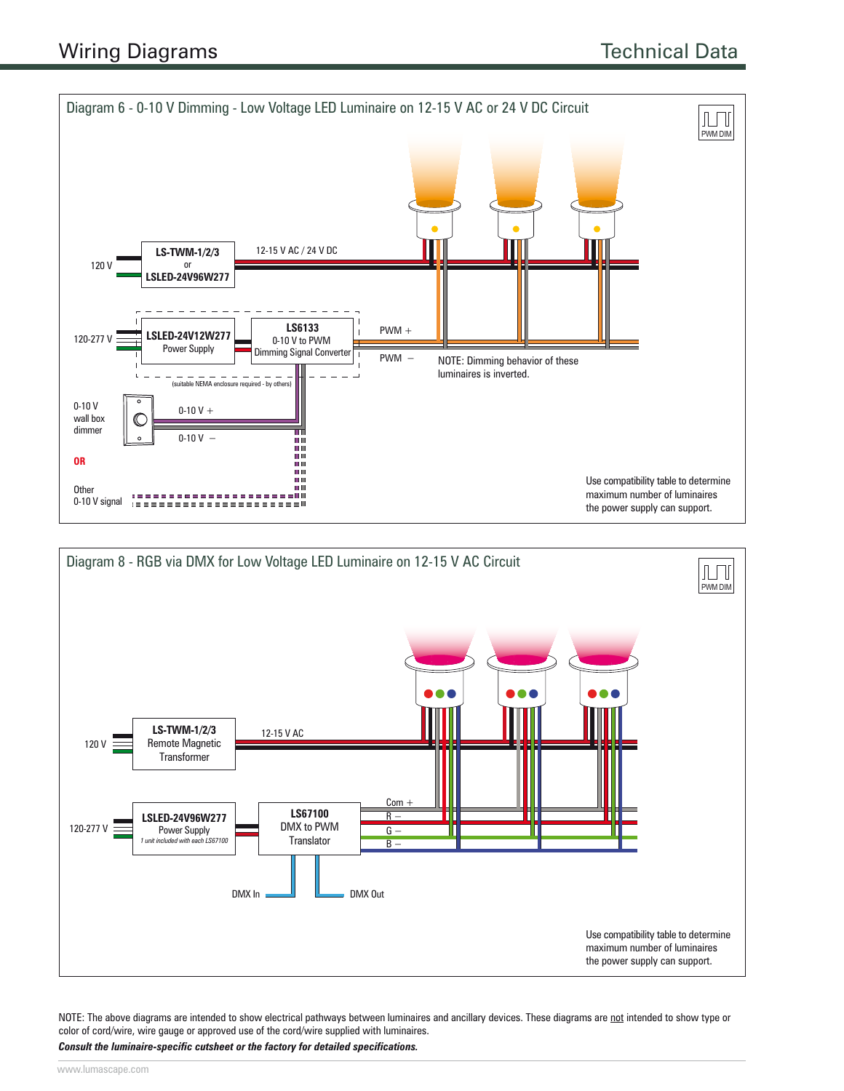



NOTE: The above diagrams are intended to show electrical pathways between luminaires and ancillary devices. These diagrams are not intended to show type or color of cord/wire, wire gauge or approved use of the cord/wire supplied with luminaires.

*Consult the luminaire-specific cutsheet or the factory for detailed specifications.*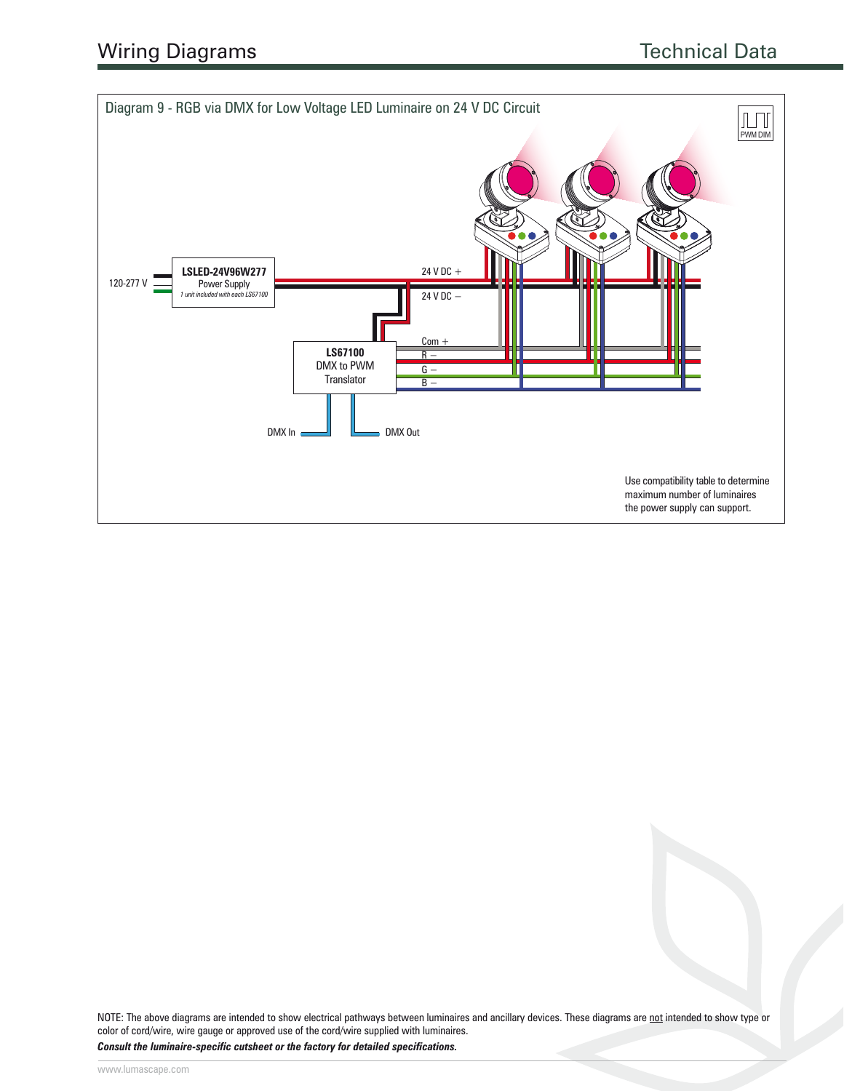

NOTE: The above diagrams are intended to show electrical pathways between luminaires and ancillary devices. These diagrams are not intended to show type or color of cord/wire, wire gauge or approved use of the cord/wire supplied with luminaires.

*Consult the luminaire-specific cutsheet or the factory for detailed specifications.*